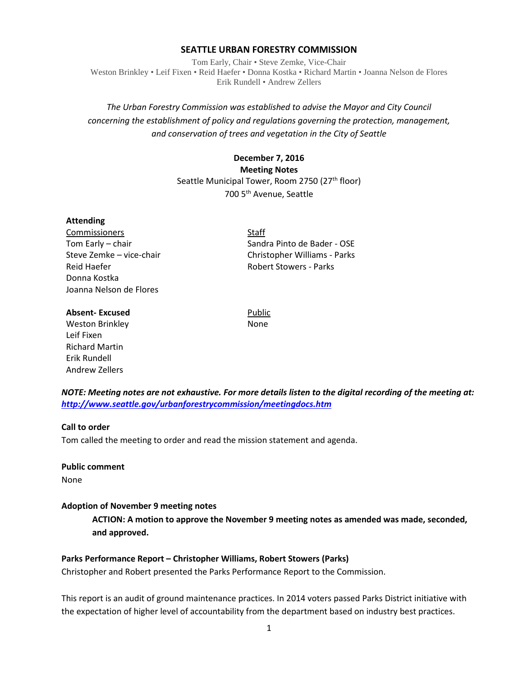### **SEATTLE URBAN FORESTRY COMMISSION**

Tom Early, Chair • Steve Zemke, Vice-Chair Weston Brinkley • Leif Fixen • Reid Haefer • Donna Kostka • Richard Martin • Joanna Nelson de Flores Erik Rundell • Andrew Zellers

## *The Urban Forestry Commission was established to advise the Mayor and City Council concerning the establishment of policy and regulations governing the protection, management, and conservation of trees and vegetation in the City of Seattle*

## **December 7, 2016 Meeting Notes** Seattle Municipal Tower, Room 2750 (27<sup>th</sup> floor) 700 5th Avenue, Seattle

### **Attending**

Commissioners Staff Reid Haefer **Robert Stowers** - Parks Donna Kostka Joanna Nelson de Flores

Tom Early – chair Sandra Pinto de Bader - OSE Steve Zemke – vice-chair Christopher Williams - Parks

### **Absent-Excused** Public

Weston Brinkley None Leif Fixen Richard Martin Erik Rundell Andrew Zellers

*NOTE: Meeting notes are not exhaustive. For more details listen to the digital recording of the meeting at: <http://www.seattle.gov/urbanforestrycommission/meetingdocs.htm>*

### **Call to order**

Tom called the meeting to order and read the mission statement and agenda.

**Public comment**

None

### **Adoption of November 9 meeting notes**

**ACTION: A motion to approve the November 9 meeting notes as amended was made, seconded, and approved.**

### **Parks Performance Report – Christopher Williams, Robert Stowers (Parks)**

Christopher and Robert presented the Parks Performance Report to the Commission.

This report is an audit of ground maintenance practices. In 2014 voters passed Parks District initiative with the expectation of higher level of accountability from the department based on industry best practices.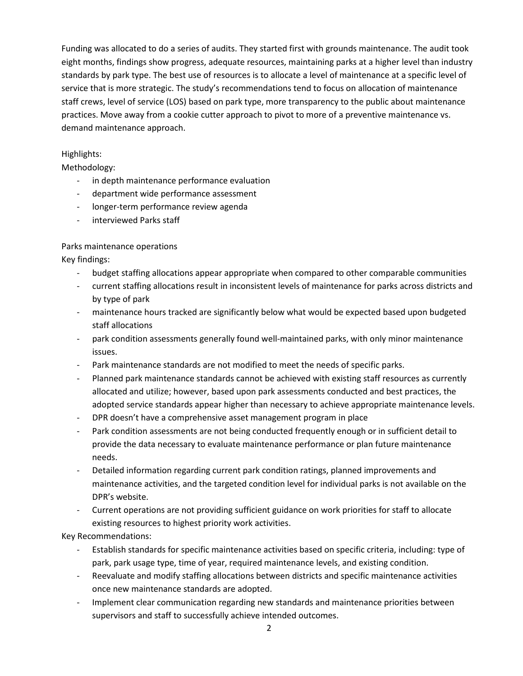Funding was allocated to do a series of audits. They started first with grounds maintenance. The audit took eight months, findings show progress, adequate resources, maintaining parks at a higher level than industry standards by park type. The best use of resources is to allocate a level of maintenance at a specific level of service that is more strategic. The study's recommendations tend to focus on allocation of maintenance staff crews, level of service (LOS) based on park type, more transparency to the public about maintenance practices. Move away from a cookie cutter approach to pivot to more of a preventive maintenance vs. demand maintenance approach.

## Highlights:

Methodology:

- in depth maintenance performance evaluation
- department wide performance assessment
- longer-term performance review agenda
- interviewed Parks staff

## Parks maintenance operations

Key findings:

- budget staffing allocations appear appropriate when compared to other comparable communities
- current staffing allocations result in inconsistent levels of maintenance for parks across districts and by type of park
- maintenance hours tracked are significantly below what would be expected based upon budgeted staff allocations
- park condition assessments generally found well-maintained parks, with only minor maintenance issues.
- Park maintenance standards are not modified to meet the needs of specific parks.
- Planned park maintenance standards cannot be achieved with existing staff resources as currently allocated and utilize; however, based upon park assessments conducted and best practices, the adopted service standards appear higher than necessary to achieve appropriate maintenance levels.
- DPR doesn't have a comprehensive asset management program in place
- Park condition assessments are not being conducted frequently enough or in sufficient detail to provide the data necessary to evaluate maintenance performance or plan future maintenance needs.
- Detailed information regarding current park condition ratings, planned improvements and maintenance activities, and the targeted condition level for individual parks is not available on the DPR's website.
- Current operations are not providing sufficient guidance on work priorities for staff to allocate existing resources to highest priority work activities.

Key Recommendations:

- Establish standards for specific maintenance activities based on specific criteria, including: type of park, park usage type, time of year, required maintenance levels, and existing condition.
- Reevaluate and modify staffing allocations between districts and specific maintenance activities once new maintenance standards are adopted.
- Implement clear communication regarding new standards and maintenance priorities between supervisors and staff to successfully achieve intended outcomes.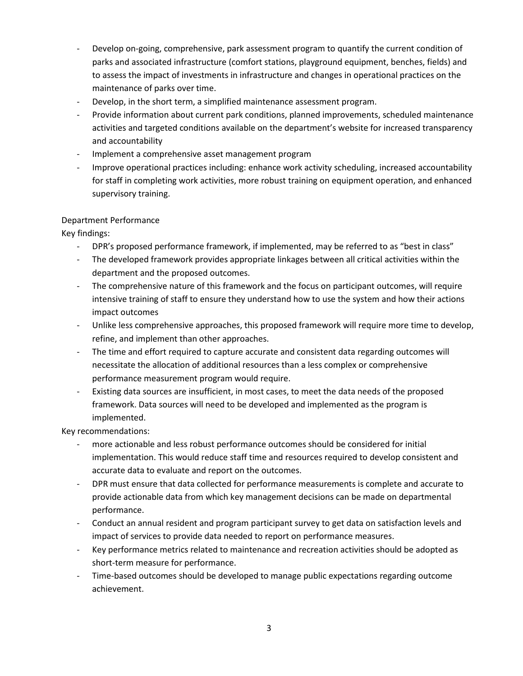- Develop on-going, comprehensive, park assessment program to quantify the current condition of parks and associated infrastructure (comfort stations, playground equipment, benches, fields) and to assess the impact of investments in infrastructure and changes in operational practices on the maintenance of parks over time.
- Develop, in the short term, a simplified maintenance assessment program.
- Provide information about current park conditions, planned improvements, scheduled maintenance activities and targeted conditions available on the department's website for increased transparency and accountability
- Implement a comprehensive asset management program
- Improve operational practices including: enhance work activity scheduling, increased accountability for staff in completing work activities, more robust training on equipment operation, and enhanced supervisory training.

## Department Performance

Key findings:

- DPR's proposed performance framework, if implemented, may be referred to as "best in class"
- The developed framework provides appropriate linkages between all critical activities within the department and the proposed outcomes.
- The comprehensive nature of this framework and the focus on participant outcomes, will require intensive training of staff to ensure they understand how to use the system and how their actions impact outcomes
- Unlike less comprehensive approaches, this proposed framework will require more time to develop, refine, and implement than other approaches.
- The time and effort required to capture accurate and consistent data regarding outcomes will necessitate the allocation of additional resources than a less complex or comprehensive performance measurement program would require.
- Existing data sources are insufficient, in most cases, to meet the data needs of the proposed framework. Data sources will need to be developed and implemented as the program is implemented.

Key recommendations:

- more actionable and less robust performance outcomes should be considered for initial implementation. This would reduce staff time and resources required to develop consistent and accurate data to evaluate and report on the outcomes.
- DPR must ensure that data collected for performance measurements is complete and accurate to provide actionable data from which key management decisions can be made on departmental performance.
- Conduct an annual resident and program participant survey to get data on satisfaction levels and impact of services to provide data needed to report on performance measures.
- Key performance metrics related to maintenance and recreation activities should be adopted as short-term measure for performance.
- Time-based outcomes should be developed to manage public expectations regarding outcome achievement.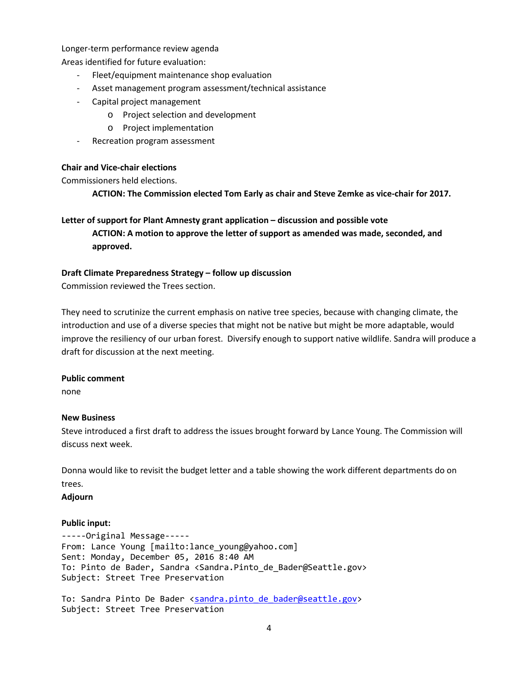Longer-term performance review agenda

Areas identified for future evaluation:

- Fleet/equipment maintenance shop evaluation
- Asset management program assessment/technical assistance
- Capital project management
	- o Project selection and development
	- o Project implementation
- Recreation program assessment

### **Chair and Vice-chair elections**

Commissioners held elections.

**ACTION: The Commission elected Tom Early as chair and Steve Zemke as vice-chair for 2017.** 

# **Letter of support for Plant Amnesty grant application – discussion and possible vote ACTION: A motion to approve the letter of support as amended was made, seconded, and approved.**

### **Draft Climate Preparedness Strategy – follow up discussion**

Commission reviewed the Trees section.

They need to scrutinize the current emphasis on native tree species, because with changing climate, the introduction and use of a diverse species that might not be native but might be more adaptable, would improve the resiliency of our urban forest. Diversify enough to support native wildlife. Sandra will produce a draft for discussion at the next meeting.

### **Public comment**

none

### **New Business**

Steve introduced a first draft to address the issues brought forward by Lance Young. The Commission will discuss next week.

Donna would like to revisit the budget letter and a table showing the work different departments do on trees.

**Adjourn**

### **Public input:**

-----Original Message----- From: Lance Young [mailto:lance\_young@yahoo.com] Sent: Monday, December 05, 2016 8:40 AM To: Pinto de Bader, Sandra <Sandra.Pinto\_de\_Bader@Seattle.gov> Subject: Street Tree Preservation

To: Sandra Pinto De Bader [<sandra.pinto\\_de\\_bader@seattle.gov>](mailto:sandra.pinto_de_bader@seattle.gov) Subject: Street Tree Preservation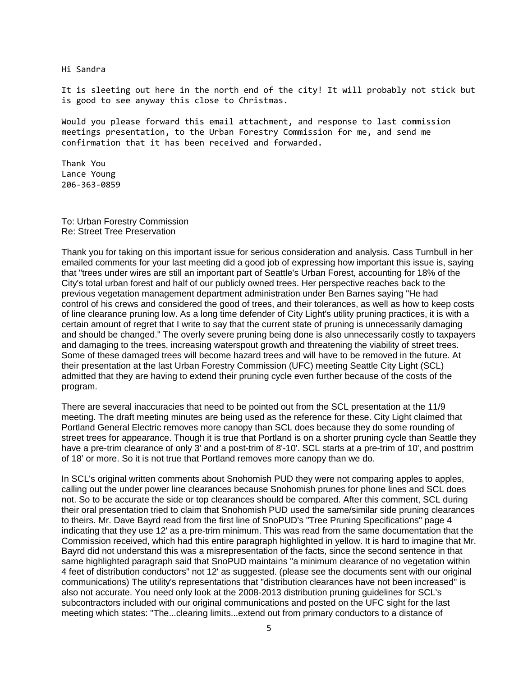Hi Sandra

It is sleeting out here in the north end of the city! It will probably not stick but is good to see anyway this close to Christmas.

Would you please forward this email attachment, and response to last commission meetings presentation, to the Urban Forestry Commission for me, and send me confirmation that it has been received and forwarded.

Thank You Lance Young 206-363-0859

To: Urban Forestry Commission Re: Street Tree Preservation

Thank you for taking on this important issue for serious consideration and analysis. Cass Turnbull in her emailed comments for your last meeting did a good job of expressing how important this issue is, saying that "trees under wires are still an important part of Seattle's Urban Forest, accounting for 18% of the City's total urban forest and half of our publicly owned trees. Her perspective reaches back to the previous vegetation management department administration under Ben Barnes saying "He had control of his crews and considered the good of trees, and their tolerances, as well as how to keep costs of line clearance pruning low. As a long time defender of City Light's utility pruning practices, it is with a certain amount of regret that I write to say that the current state of pruning is unnecessarily damaging and should be changed." The overly severe pruning being done is also unnecessarily costly to taxpayers and damaging to the trees, increasing waterspout growth and threatening the viability of street trees. Some of these damaged trees will become hazard trees and will have to be removed in the future. At their presentation at the last Urban Forestry Commission (UFC) meeting Seattle City Light (SCL) admitted that they are having to extend their pruning cycle even further because of the costs of the program.

There are several inaccuracies that need to be pointed out from the SCL presentation at the 11/9 meeting. The draft meeting minutes are being used as the reference for these. City Light claimed that Portland General Electric removes more canopy than SCL does because they do some rounding of street trees for appearance. Though it is true that Portland is on a shorter pruning cycle than Seattle they have a pre-trim clearance of only 3' and a post-trim of 8'-10'. SCL starts at a pre-trim of 10', and posttrim of 18' or more. So it is not true that Portland removes more canopy than we do.

In SCL's original written comments about Snohomish PUD they were not comparing apples to apples, calling out the under power line clearances because Snohomish prunes for phone lines and SCL does not. So to be accurate the side or top clearances should be compared. After this comment, SCL during their oral presentation tried to claim that Snohomish PUD used the same/similar side pruning clearances to theirs. Mr. Dave Bayrd read from the first line of SnoPUD's "Tree Pruning Specifications" page 4 indicating that they use 12' as a pre-trim minimum. This was read from the same documentation that the Commission received, which had this entire paragraph highlighted in yellow. It is hard to imagine that Mr. Bayrd did not understand this was a misrepresentation of the facts, since the second sentence in that same highlighted paragraph said that SnoPUD maintains "a minimum clearance of no vegetation within 4 feet of distribution conductors" not 12' as suggested. (please see the documents sent with our original communications) The utility's representations that "distribution clearances have not been increased" is also not accurate. You need only look at the 2008-2013 distribution pruning guidelines for SCL's subcontractors included with our original communications and posted on the UFC sight for the last meeting which states: "The...clearing limits...extend out from primary conductors to a distance of